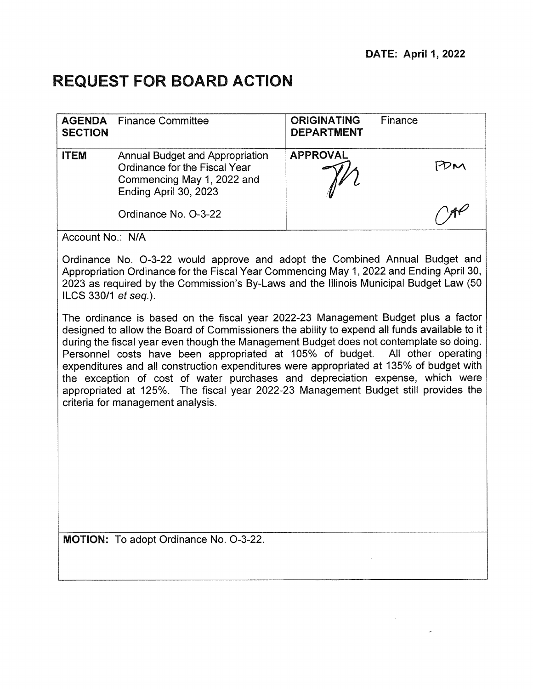# **REQUEST FOR BOARD ACTION**

| <b>AGENDA</b><br><b>SECTION</b> | <b>Finance Committee</b>                                                                                                       | <b>ORIGINATING</b><br><b>DEPARTMENT</b> | Finance |  |
|---------------------------------|--------------------------------------------------------------------------------------------------------------------------------|-----------------------------------------|---------|--|
| <b>ITEM</b>                     | <b>Annual Budget and Appropriation</b><br>Ordinance for the Fiscal Year<br>Commencing May 1, 2022 and<br>Ending April 30, 2023 | <b>APPROVAL</b>                         |         |  |
|                                 | Ordinance No. O-3-22                                                                                                           |                                         |         |  |

Account No.: N/A

Ordinance No. 0-3-22 would approve and adopt the Combined Annual Budget and Appropriation Ordinance for the Fiscal Year Commencing May 1, 2022 and Ending April 30, 2023 as required by the Commission's By-Laws and the Illinois Municipal Budget Law (50 ILCS 330/1 et seq.).

The ordinance is based on the fiscal year 2022-23 Management Budget plus a factor designed to allow the Board of Commissioners the ability to expend all funds available to it during the fiscal year even though the Management Budget does not contemplate so doing. Personnel costs have been appropriated at 105% of budget. All other operating expenditures and all construction expenditures were appropriated at 135% of budget with the exception of cost of water purchases and depreciation expense, which were appropriated at 125%. The fiscal year 2022-23 Management Budget still provides the criteria for management analysis.

MOTION: To adopt Ordinance No. 0-3-22.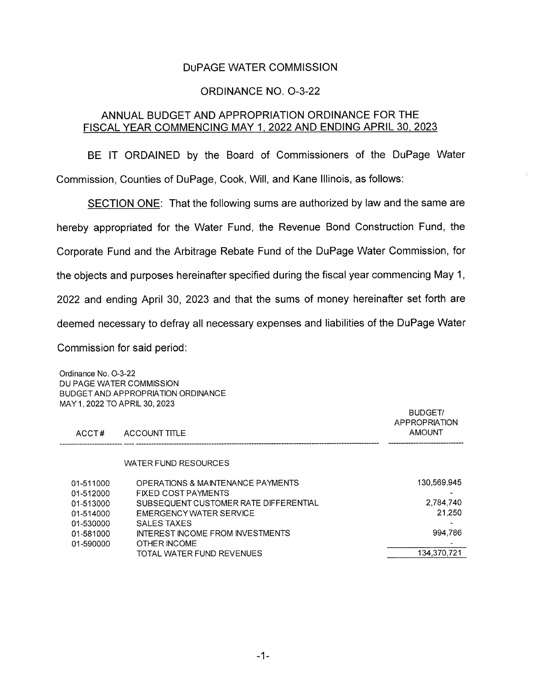### DuPAGE WATER COMMISSION

### ORDINANCE NO. 0-3-22

#### ANNUAL BUDGET AND APPROPRIATION ORDINANCE FOR THE FISCAL YEAR COMMENCING MAY 1, 2022 AND ENDING APRIL 30, 2023

BE IT ORDAINED by the Board of Commissioners of the DuPage Water Commission, Counties of DuPage, Cook, Will, and Kane Illinois, as follows:

SECTION ONE: That the following sums are authorized by law and the same are hereby appropriated for the Water Fund, the Revenue Bond Construction Fund, the Corporate Fund and the Arbitrage Rebate Fund of the DuPage Water Commission, for the objects and purposes hereinafter specified during the fiscal year commencing May 1, 2022 and ending April 30, 2023 and that the sums of money hereinafter set forth are deemed necessary to defray all necessary expenses and liabilities of the DuPage Water Commission for said period: Ordinance No. 0-3-22

DU PAGE WATER COMMISSION BUDGET AND APPROPRIATION ORDINANCE MAY 1 2022 TO APRIL 30, 2023 **BUDGET/** APPROPRIATION ACCT# ACCOUNT TITLE AMOUNT AMOUNT WATER FUND RESOURCES 01-511000 OPERATIONS & MAINTENANCE PAYMENTS 130,569,945 01-512000 FIXED COST PAYMENTS - 01-513000 SUBSEQUENT CUSTOMER RATE DIFFERENTIAL 01-514000 EMERGENCY WATER SERVICE 21**,**250 01-530000 SALES TAXES - 01-581000 INTEREST INCOME FROM INVESTMENTS 01-590000 OTHER INCOME<br>TOTAL WATER FUND REVENUES FOR THE MANUSCRIPE OF THE MOTOR CONTROL OF THE MANUSCRIPE OF THE MANUSCRIPE OF THE M<br>TOTAL WATER FUND REVENUES TOTAL WATER FUND REVENUES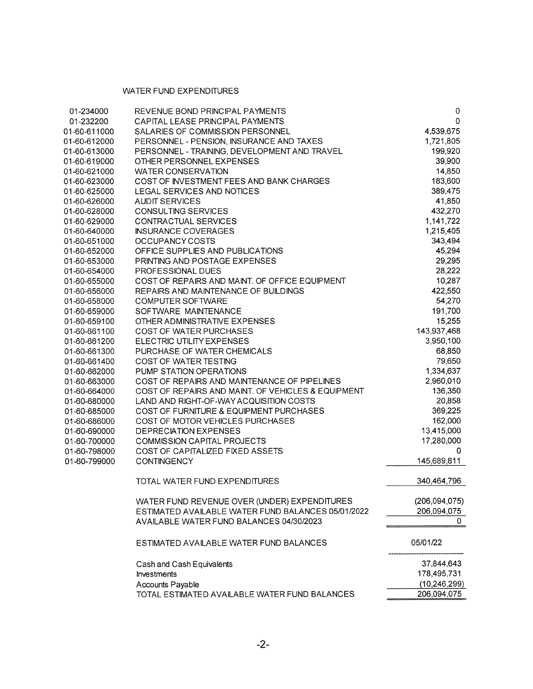#### WATER FUND EXPENDITURES

| 01-234000    | REVENUE BOND PRINCIPAL PAYMENTS                    | 0               |
|--------------|----------------------------------------------------|-----------------|
| 01-232200    | CAPITAL LEASE PRINCIPAL PAYMENTS                   | 0               |
| 01-60-611000 | SALARIES OF COMMISSION PERSONNEL                   | 4,539,675       |
| 01-60-612000 | PERSONNEL - PENSION, INSURANCE AND TAXES           | 1,721,805       |
| 01-60-613000 | PERSONNEL - TRAINING, DEVELOPMENT AND TRAVEL       | 199,920         |
| 01-60-619000 | OTHER PERSONNEL EXPENSES                           | 39,900          |
| 01-60-621000 | <b>WATER CONSERVATION</b>                          | 14,850          |
| 01-60-623000 | COST OF INVESTMENT FEES AND BANK CHARGES           | 183,600         |
| 01-60-625000 | LEGAL SERVICES AND NOTICES                         | 389,475         |
| 01-60-626000 | <b>AUDIT SERVICES</b>                              | 41,850          |
| 01-60-628000 | <b>CONSULTING SERVICES</b>                         | 432,270         |
| 01-60-629000 | CONTRACTUAL SERVICES                               | 1,141,722       |
| 01-60-640000 | <b>INSURANCE COVERAGES</b>                         | 1,215,405       |
| 01-60-651000 | OCCUPANCY COSTS                                    | 343,494         |
| 01-60-652000 | OFFICE SUPPLIES AND PUBLICATIONS                   | 45,294          |
| 01-60-653000 | PRINTING AND POSTAGE EXPENSES                      | 29,295          |
| 01-60-654000 | PROFESSIONAL DUES                                  | 28,222          |
| 01-60-655000 | COST OF REPAIRS AND MAINT. OF OFFICE EQUIPMENT     | 10,287          |
| 01-60-656000 | REPAIRS AND MAINTENANCE OF BUILDINGS               | 422,550         |
| 01-60-658000 | <b>COMPUTER SOFTWARE</b>                           | 54,270          |
| 01-60-659000 | SOFTWARE MAINTENANCE                               | 191,700         |
| 01-60-659100 | OTHER ADMINISTRATIVE EXPENSES                      | 15,255          |
| 01-60-661100 | <b>COST OF WATER PURCHASES</b>                     | 143,937,468     |
| 01-60-661200 | ELECTRIC UTILITY EXPENSES                          | 3,950,100       |
| 01-60-661300 | PURCHASE OF WATER CHEMICALS                        | 68,850          |
| 01-60-661400 | COST OF WATER TESTING                              | 79,650          |
| 01-60-662000 | PUMP STATION OPERATIONS                            | 1,334,637       |
| 01-60-663000 | COST OF REPAIRS AND MAINTENANCE OF PIPELINES       | 2,960,010       |
| 01-60-664000 | COST OF REPAIRS AND MAINT. OF VEHICLES & EQUIPMENT | 136,350         |
| 01-60-680000 | LAND AND RIGHT-OF-WAY ACQUISITION COSTS            | 20,858          |
| 01-60-685000 | COST OF FURNITURE & EQUIPMENT PURCHASES            | 369,225         |
| 01-60-686000 | COST OF MOTOR VEHICLES PURCHASES                   | 162,000         |
| 01-60-690000 | <b>DEPRECIATION EXPENSES</b>                       | 13,415,000      |
| 01-60-700000 | <b>COMMISSION CAPITAL PROJECTS</b>                 | 17,280,000      |
| 01-60-798000 | COST OF CAPITALIZED FIXED ASSETS                   | 0               |
| 01-60-799000 | <b>CONTINGENCY</b>                                 | 145,689,811     |
|              | TOTAL WATER FUND EXPENDITURES                      | 340,464,796     |
|              | WATER FUND REVENUE OVER (UNDER) EXPENDITURES       | (206, 094, 075) |
|              | ESTIMATED AVAILABLE WATER FUND BALANCES 05/01/2022 | 206,094,075     |
|              | AVAILABLE WATER FUND BALANCES 04/30/2023           | 0               |
|              | ESTIMATED AVAILABLE WATER FUND BALANCES            | 05/01/22        |
|              | Cash and Cash Equivalents                          | 37,844,643      |
|              | Investments                                        | 178,495,731     |
|              | Accounts Payable                                   | (10, 246, 299)  |
|              | TOTAL ESTIMATED AVAILABLE WATER FUND BALANCES      | 206,094,075     |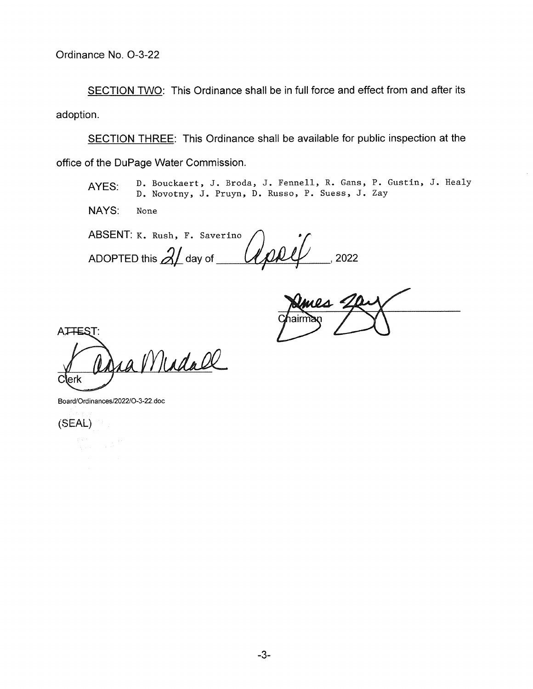SECTION TWO: This Ordinance shall be in full force and effect from and after its adoption.

SECTION THREE: This Ordinance shall be available for public inspection at the office of the DuPage Water Commission.

AYES: D. Bouckaert, J. Broda, J. Fennell, R. Gans, P. Gustin, J. Healy D. Novotny, J. Pruyn, D. Russo, P. Suess, J. Zay

NAYS: None

ABSENT: K. Rush, F. Saverino ADOPTED this  $2\ell$  day of  $\ell$  and  $\ell$ 

mes 2

ATTEST:

ra Mindall C erk

Board/Ordinances/2022/O-3-22.doc

(SEAL)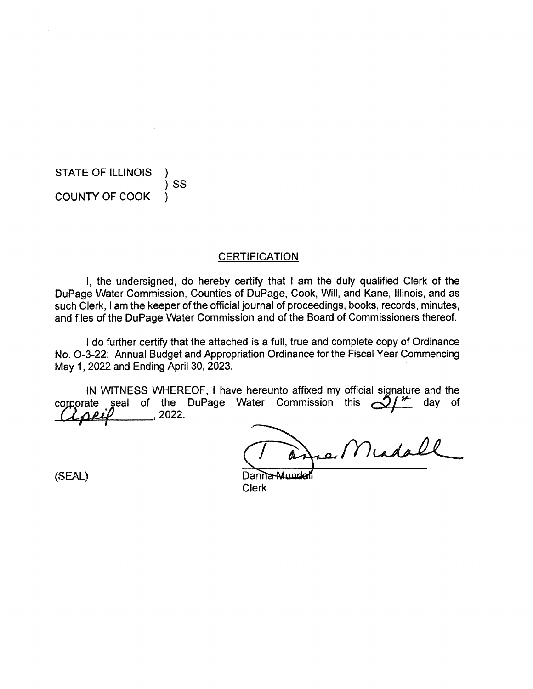STATE OF ILLINOIS )SS COUNTY OF COOK )

#### **CERTIFICATION**

I, the undersigned, do hereby certify that I am the duly qualified Clerk of the DuPage Water Commission, Counties of DuPage, Cook, Will, and Kane, Illinois, and as such Clerk, I am the keeper of the official journal of proceedings, books, records, minutes, and files of the DuPage Water Commission and of the Board of Commissioners thereof.

I do further certify that the attached is a full, true and complete copy of Ordinance No. 0-3-22: Annual Budget and Appropriation Ordinance for the Fiscal Year Commencing May 1, 2022 and Ending April 30, 2023.

IN WITNESS WHEREOF, I have hereunto affixed my official signature and the corporate seal of the DuPage Water Commission this  $\mathcal{A}^*$  day of  $\frac{2022}{2}$ 

a Middle

(SEAL) Danna-A Clerk